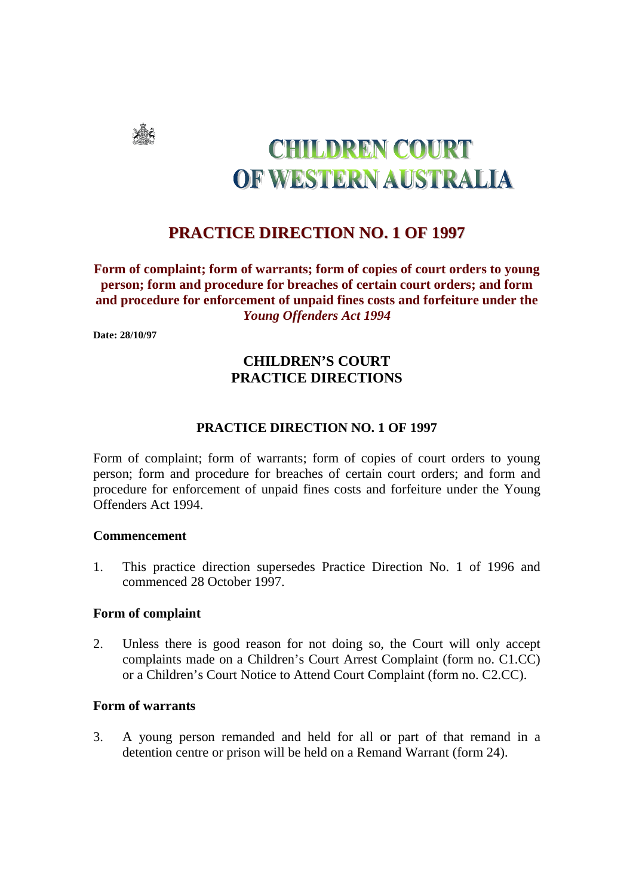

# **CHILDREN COURT** OF WESTERN AUSTRALIA

# **PRACTICE DIRECTION NO. 1 OF 1997**

**Form of complaint; form of warrants; form of copies of court orders to young person; form and procedure for breaches of certain court orders; and form and procedure for enforcement of unpaid fines costs and forfeiture under the**  *Young Offenders Act 1994*

**Date: 28/10/97** 

## **CHILDREN'S COURT PRACTICE DIRECTIONS**

#### **PRACTICE DIRECTION NO. 1 OF 1997**

Form of complaint; form of warrants; form of copies of court orders to young person; form and procedure for breaches of certain court orders; and form and procedure for enforcement of unpaid fines costs and forfeiture under the Young Offenders Act 1994.

#### **Commencement**

1. This practice direction supersedes Practice Direction No. 1 of 1996 and commenced 28 October 1997.

#### **Form of complaint**

2. Unless there is good reason for not doing so, the Court will only accept complaints made on a Children's Court Arrest Complaint (form no. C1.CC) or a Children's Court Notice to Attend Court Complaint (form no. C2.CC).

#### **Form of warrants**

3. A young person remanded and held for all or part of that remand in a detention centre or prison will be held on a Remand Warrant (form 24).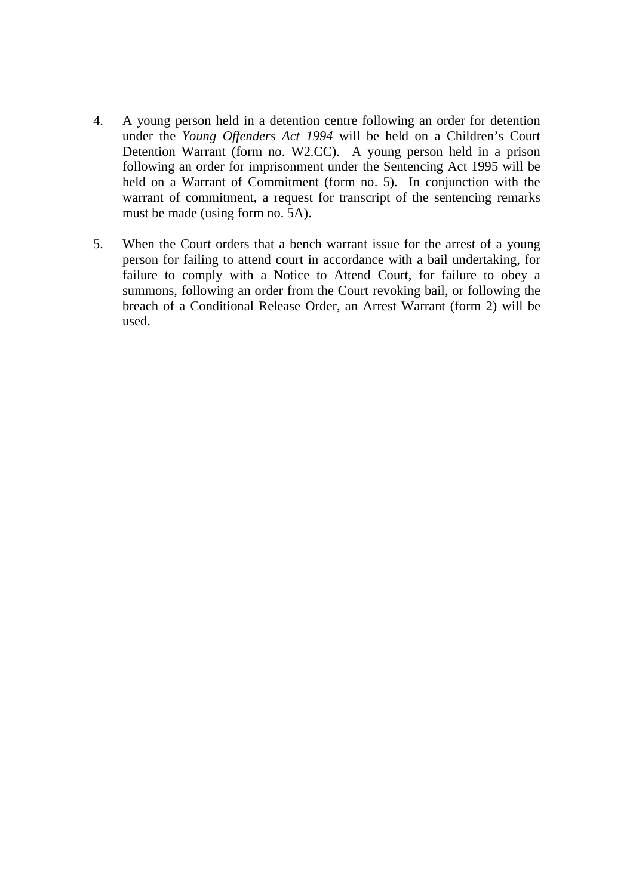- 4. A young person held in a detention centre following an order for detention under the *Young Offenders Act 1994* will be held on a Children's Court Detention Warrant (form no. W2.CC). A young person held in a prison following an order for imprisonment under the Sentencing Act 1995 will be held on a Warrant of Commitment (form no. 5). In conjunction with the warrant of commitment, a request for transcript of the sentencing remarks must be made (using form no. 5A).
- 5. When the Court orders that a bench warrant issue for the arrest of a young person for failing to attend court in accordance with a bail undertaking, for failure to comply with a Notice to Attend Court, for failure to obey a summons, following an order from the Court revoking bail, or following the breach of a Conditional Release Order, an Arrest Warrant (form 2) will be used.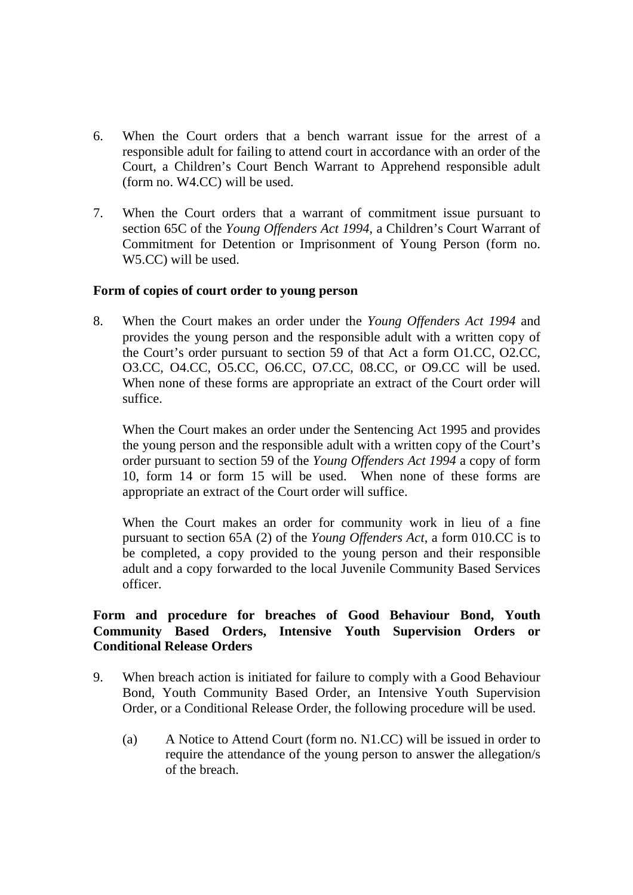- 6. When the Court orders that a bench warrant issue for the arrest of a responsible adult for failing to attend court in accordance with an order of the Court, a Children's Court Bench Warrant to Apprehend responsible adult (form no. W4.CC) will be used.
- 7. When the Court orders that a warrant of commitment issue pursuant to section 65C of the *Young Offenders Act 1994*, a Children's Court Warrant of Commitment for Detention or Imprisonment of Young Person (form no. W5.CC) will be used.

#### **Form of copies of court order to young person**

8. When the Court makes an order under the *Young Offenders Act 1994* and provides the young person and the responsible adult with a written copy of the Court's order pursuant to section 59 of that Act a form O1.CC, O2.CC, O3.CC, O4.CC, O5.CC, O6.CC, O7.CC, 08.CC, or O9.CC will be used. When none of these forms are appropriate an extract of the Court order will suffice.

 When the Court makes an order under the Sentencing Act 1995 and provides the young person and the responsible adult with a written copy of the Court's order pursuant to section 59 of the *Young Offenders Act 1994* a copy of form 10, form 14 or form 15 will be used. When none of these forms are appropriate an extract of the Court order will suffice.

 When the Court makes an order for community work in lieu of a fine pursuant to section 65A (2) of the *Young Offenders Act*, a form 010.CC is to be completed, a copy provided to the young person and their responsible adult and a copy forwarded to the local Juvenile Community Based Services officer.

### **Form and procedure for breaches of Good Behaviour Bond, Youth Community Based Orders, Intensive Youth Supervision Orders or Conditional Release Orders**

- 9. When breach action is initiated for failure to comply with a Good Behaviour Bond, Youth Community Based Order, an Intensive Youth Supervision Order, or a Conditional Release Order, the following procedure will be used.
	- (a) A Notice to Attend Court (form no. N1.CC) will be issued in order to require the attendance of the young person to answer the allegation/s of the breach.